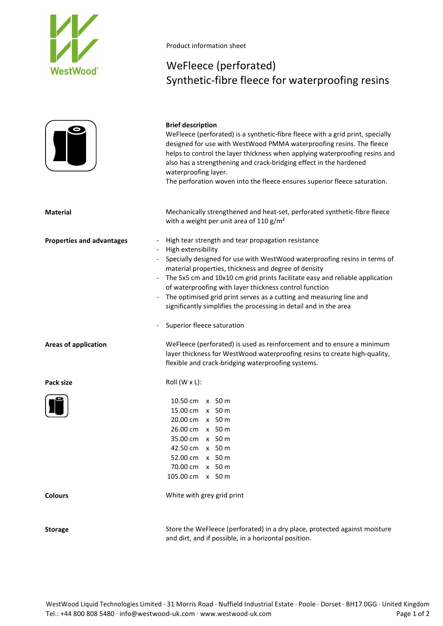

## Product information sheet

## WeFleece (perforated) Synthetic-fibre fleece for waterproofing resins

|                                  | <b>Brief description</b><br>WeFleece (perforated) is a synthetic-fibre fleece with a grid print, specially<br>designed for use with WestWood PMMA waterproofing resins. The fleece<br>helps to control the layer thickness when applying waterproofing resins and<br>also has a strengthening and crack-bridging effect in the hardened<br>waterproofing layer.<br>The perforation woven into the fleece ensures superior fleece saturation.                                                                                      |
|----------------------------------|-----------------------------------------------------------------------------------------------------------------------------------------------------------------------------------------------------------------------------------------------------------------------------------------------------------------------------------------------------------------------------------------------------------------------------------------------------------------------------------------------------------------------------------|
| <b>Material</b>                  | Mechanically strengthened and heat-set, perforated synthetic-fibre fleece<br>with a weight per unit area of 110 $g/m^2$                                                                                                                                                                                                                                                                                                                                                                                                           |
| <b>Properties and advantages</b> | High tear strength and tear propagation resistance<br>High extensibility<br>Specially designed for use with WestWood waterproofing resins in terms of<br>material properties, thickness and degree of density<br>The 5x5 cm and 10x10 cm grid prints facilitate easy and reliable application<br>of waterproofing with layer thickness control function<br>The optimised grid print serves as a cutting and measuring line and<br>significantly simplifies the processing in detail and in the area<br>Superior fleece saturation |
| <b>Areas of application</b>      | WeFleece (perforated) is used as reinforcement and to ensure a minimum<br>layer thickness for WestWood waterproofing resins to create high-quality,<br>flexible and crack-bridging waterproofing systems.                                                                                                                                                                                                                                                                                                                         |
| Pack size                        | Roll (W x L):                                                                                                                                                                                                                                                                                                                                                                                                                                                                                                                     |
|                                  | 10.50 cm x 50 m<br>15.00 cm x 50 m<br>20.00 cm x 50 m<br>26.00 cm x 50 m<br>35.00 cm x 50 m<br>42.50 cm x 50 m<br>52.00 cm x 50 m<br>70.00 cm x 50 m<br>105.00 cm x 50 m                                                                                                                                                                                                                                                                                                                                                          |
| <b>Colours</b>                   | White with grey grid print                                                                                                                                                                                                                                                                                                                                                                                                                                                                                                        |
| Storage                          | Store the WeFleece (perforated) in a dry place protected against moisture                                                                                                                                                                                                                                                                                                                                                                                                                                                         |

Storage Store the WeFleece (perforated) in a dry place, protected against moisture and dirt, and if possible, in a horizontal position.